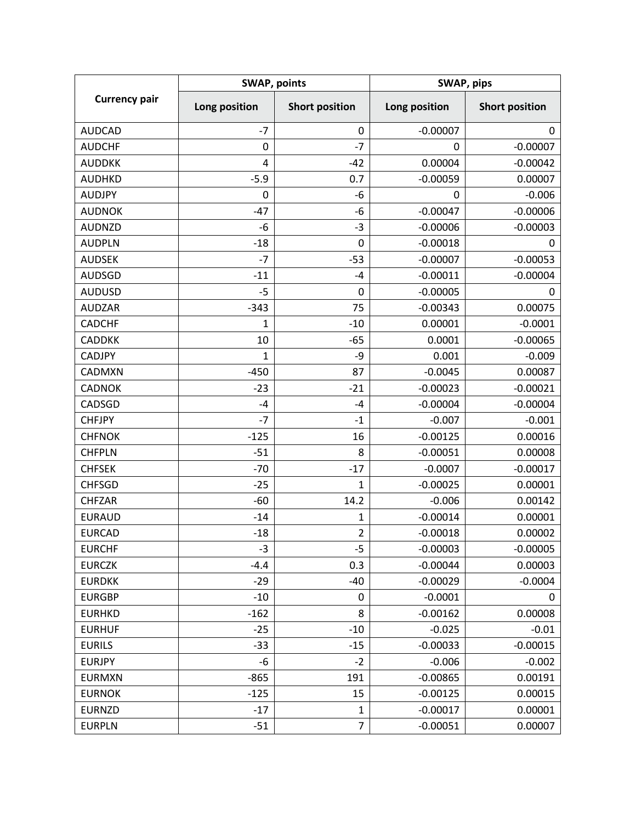| <b>Currency pair</b> | <b>SWAP, points</b> |                       | SWAP, pips    |                       |
|----------------------|---------------------|-----------------------|---------------|-----------------------|
|                      | Long position       | <b>Short position</b> | Long position | <b>Short position</b> |
| <b>AUDCAD</b>        | $-7$                | 0                     | $-0.00007$    | $\mathbf 0$           |
| <b>AUDCHF</b>        | 0                   | $-7$                  | 0             | $-0.00007$            |
| <b>AUDDKK</b>        | 4                   | $-42$                 | 0.00004       | $-0.00042$            |
| <b>AUDHKD</b>        | $-5.9$              | 0.7                   | $-0.00059$    | 0.00007               |
| <b>AUDJPY</b>        | 0                   | -6                    | 0             | $-0.006$              |
| <b>AUDNOK</b>        | $-47$               | -6                    | $-0.00047$    | $-0.00006$            |
| <b>AUDNZD</b>        | $-6$                | $-3$                  | $-0.00006$    | $-0.00003$            |
| <b>AUDPLN</b>        | $-18$               | 0                     | $-0.00018$    | 0                     |
| <b>AUDSEK</b>        | $-7$                | $-53$                 | $-0.00007$    | $-0.00053$            |
| <b>AUDSGD</b>        | $-11$               | -4                    | $-0.00011$    | $-0.00004$            |
| <b>AUDUSD</b>        | $-5$                | 0                     | $-0.00005$    | 0                     |
| <b>AUDZAR</b>        | $-343$              | 75                    | $-0.00343$    | 0.00075               |
| <b>CADCHF</b>        | $\mathbf 1$         | $-10$                 | 0.00001       | $-0.0001$             |
| <b>CADDKK</b>        | 10                  | $-65$                 | 0.0001        | $-0.00065$            |
| <b>CADJPY</b>        | 1                   | -9                    | 0.001         | $-0.009$              |
| CADMXN               | $-450$              | 87                    | $-0.0045$     | 0.00087               |
| <b>CADNOK</b>        | $-23$               | $-21$                 | $-0.00023$    | $-0.00021$            |
| CADSGD               | $-4$                | $-4$                  | $-0.00004$    | $-0.00004$            |
| <b>CHFJPY</b>        | $-7$                | $-1$                  | $-0.007$      | $-0.001$              |
| <b>CHFNOK</b>        | $-125$              | 16                    | $-0.00125$    | 0.00016               |
| <b>CHFPLN</b>        | $-51$               | 8                     | $-0.00051$    | 0.00008               |
| <b>CHFSEK</b>        | $-70$               | $-17$                 | $-0.0007$     | $-0.00017$            |
| <b>CHFSGD</b>        | $-25$               | $\mathbf{1}$          | $-0.00025$    | 0.00001               |
| <b>CHFZAR</b>        | $-60$               | 14.2                  | $-0.006$      | 0.00142               |
| <b>EURAUD</b>        | $-14$               | 1                     | $-0.00014$    | 0.00001               |
| <b>EURCAD</b>        | $-18$               | $\overline{2}$        | $-0.00018$    | 0.00002               |
| <b>EURCHF</b>        | $-3$                | -5                    | $-0.00003$    | $-0.00005$            |
| <b>EURCZK</b>        | $-4.4$              | 0.3                   | $-0.00044$    | 0.00003               |
| <b>EURDKK</b>        | $-29$               | $-40$                 | $-0.00029$    | $-0.0004$             |
| <b>EURGBP</b>        | $-10$               | 0                     | $-0.0001$     | 0                     |
| <b>EURHKD</b>        | $-162$              | 8                     | $-0.00162$    | 0.00008               |
| <b>EURHUF</b>        | $-25$               | $-10$                 | $-0.025$      | $-0.01$               |
| <b>EURILS</b>        | $-33$               | $-15$                 | $-0.00033$    | $-0.00015$            |
| <b>EURJPY</b>        | -6                  | $-2$                  | $-0.006$      | $-0.002$              |
| <b>EURMXN</b>        | $-865$              | 191                   | $-0.00865$    | 0.00191               |
| <b>EURNOK</b>        | $-125$              | 15                    | $-0.00125$    | 0.00015               |
| <b>EURNZD</b>        | $-17$               | 1                     | $-0.00017$    | 0.00001               |
| <b>EURPLN</b>        | $-51$               | $\overline{7}$        | $-0.00051$    | 0.00007               |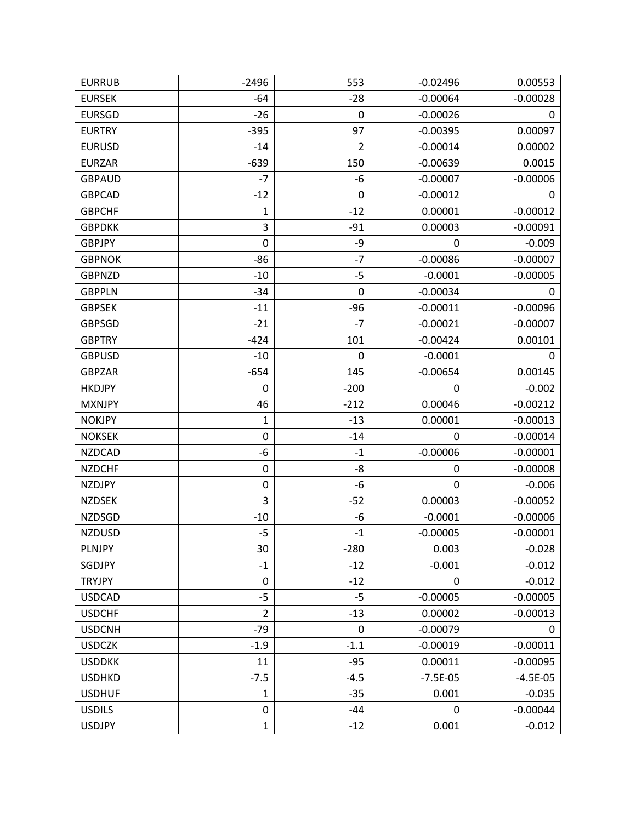| <b>EURRUB</b> | $-2496$          | 553            | $-0.02496$ | 0.00553    |
|---------------|------------------|----------------|------------|------------|
| <b>EURSEK</b> | $-64$            | $-28$          | $-0.00064$ | $-0.00028$ |
| <b>EURSGD</b> | -26              | 0              | $-0.00026$ | 0          |
| <b>EURTRY</b> | $-395$           | 97             | $-0.00395$ | 0.00097    |
| <b>EURUSD</b> | $-14$            | $\overline{2}$ | $-0.00014$ | 0.00002    |
| <b>EURZAR</b> | $-639$           | 150            | $-0.00639$ | 0.0015     |
| <b>GBPAUD</b> | $-7$             | -6             | $-0.00007$ | $-0.00006$ |
| <b>GBPCAD</b> | $-12$            | 0              | $-0.00012$ | 0          |
| <b>GBPCHF</b> | 1                | $-12$          | 0.00001    | $-0.00012$ |
| <b>GBPDKK</b> | 3                | $-91$          | 0.00003    | $-0.00091$ |
| <b>GBPJPY</b> | 0                | -9             | 0          | $-0.009$   |
| <b>GBPNOK</b> | $-86$            | $-7$           | $-0.00086$ | $-0.00007$ |
| <b>GBPNZD</b> | -10              | $-5$           | $-0.0001$  | $-0.00005$ |
| <b>GBPPLN</b> | $-34$            | 0              | $-0.00034$ | 0          |
| <b>GBPSEK</b> | $-11$            | $-96$          | $-0.00011$ | $-0.00096$ |
| <b>GBPSGD</b> | $-21$            | $-7$           | $-0.00021$ | $-0.00007$ |
| <b>GBPTRY</b> | $-424$           | 101            | $-0.00424$ | 0.00101    |
| <b>GBPUSD</b> | $-10$            | 0              | $-0.0001$  | 0          |
| <b>GBPZAR</b> | $-654$           | 145            | $-0.00654$ | 0.00145    |
| <b>HKDJPY</b> | 0                | $-200$         | 0          | $-0.002$   |
| <b>MXNJPY</b> | 46               | $-212$         | 0.00046    | $-0.00212$ |
| <b>NOKJPY</b> | 1                | $-13$          | 0.00001    | $-0.00013$ |
| <b>NOKSEK</b> | $\pmb{0}$        | $-14$          | 0          | $-0.00014$ |
| <b>NZDCAD</b> | -6               | $-1$           | $-0.00006$ | $-0.00001$ |
| <b>NZDCHF</b> | 0                | -8             | 0          | $-0.00008$ |
| <b>NZDJPY</b> | $\boldsymbol{0}$ | -6             | 0          | $-0.006$   |
| <b>NZDSEK</b> | 3                | $-52$          | 0.00003    | $-0.00052$ |
| <b>NZDSGD</b> | $-10$            | -6             | $-0.0001$  | $-0.00006$ |
| <b>NZDUSD</b> | $-5$             | $-1$           | $-0.00005$ | $-0.00001$ |
| PLNJPY        | 30               | $-280$         | 0.003      | $-0.028$   |
| SGDJPY        | $-1$             | $-12$          | $-0.001$   | $-0.012$   |
| <b>TRYJPY</b> | $\mathbf 0$      | $-12$          | 0          | $-0.012$   |
| <b>USDCAD</b> | $-5$             | $-5$           | $-0.00005$ | $-0.00005$ |
| <b>USDCHF</b> | $\overline{2}$   | $-13$          | 0.00002    | $-0.00013$ |
| <b>USDCNH</b> | $-79$            | 0              | $-0.00079$ | 0          |
| <b>USDCZK</b> | $-1.9$           | $-1.1$         | $-0.00019$ | $-0.00011$ |
| <b>USDDKK</b> | 11               | $-95$          | 0.00011    | $-0.00095$ |
| <b>USDHKD</b> | $-7.5$           | $-4.5$         | $-7.5E-05$ | $-4.5E-05$ |
| <b>USDHUF</b> | $\mathbf{1}$     | $-35$          | 0.001      | $-0.035$   |
| <b>USDILS</b> | 0                | $-44$          | 0          | $-0.00044$ |
| <b>USDJPY</b> | $\mathbf{1}$     | $-12$          | 0.001      | $-0.012$   |